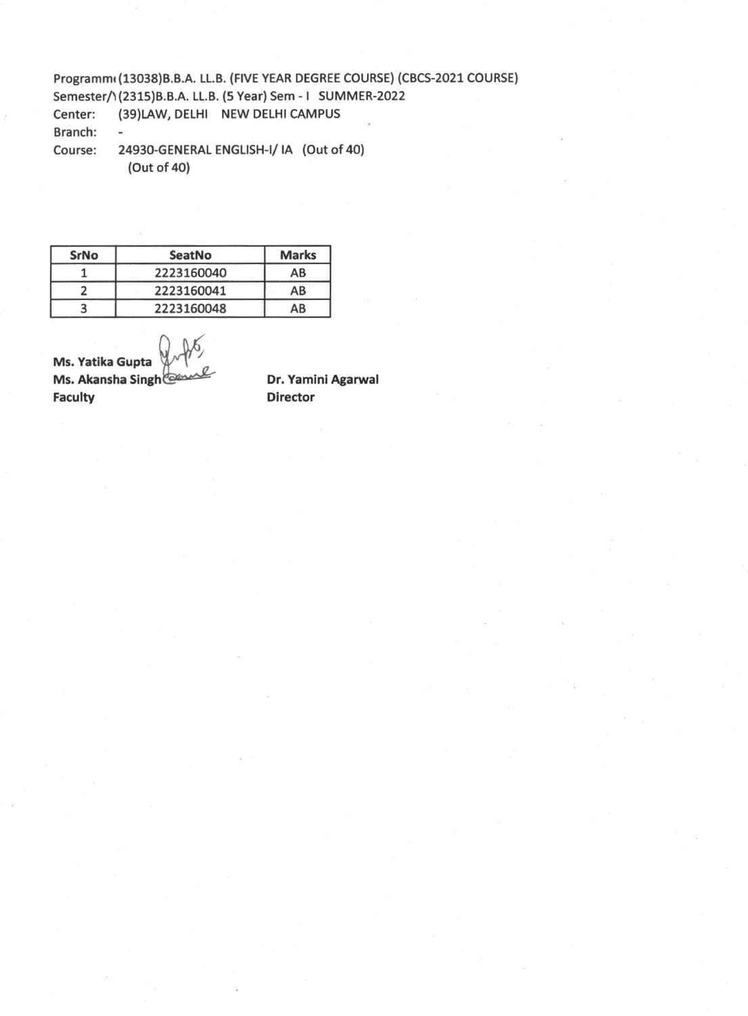Programm( (13038)B.B.A. LL.B. (FIVE YEAR DEGREE COURSE) (CBCS-2021 COURSE) Semester/1(2315)B.B.A. LL.B. (5 Year) Sem - I SUMMER-2022 Center: (39)LAW, DELHI NEW DELHI CAMPUS Branch: - Course: 24930-GENERAL ENGLISH-I/ IA (Out of 40) (Out of 40)

**SrNo SeatNo Marks**  1 2223160040 AB 2 2223160041 AB 3 2223160048 AB

**Ms. Yatika Gupta Ms. Akansha Singh Faculty** 

**Dr. Yamini Agarwal Director**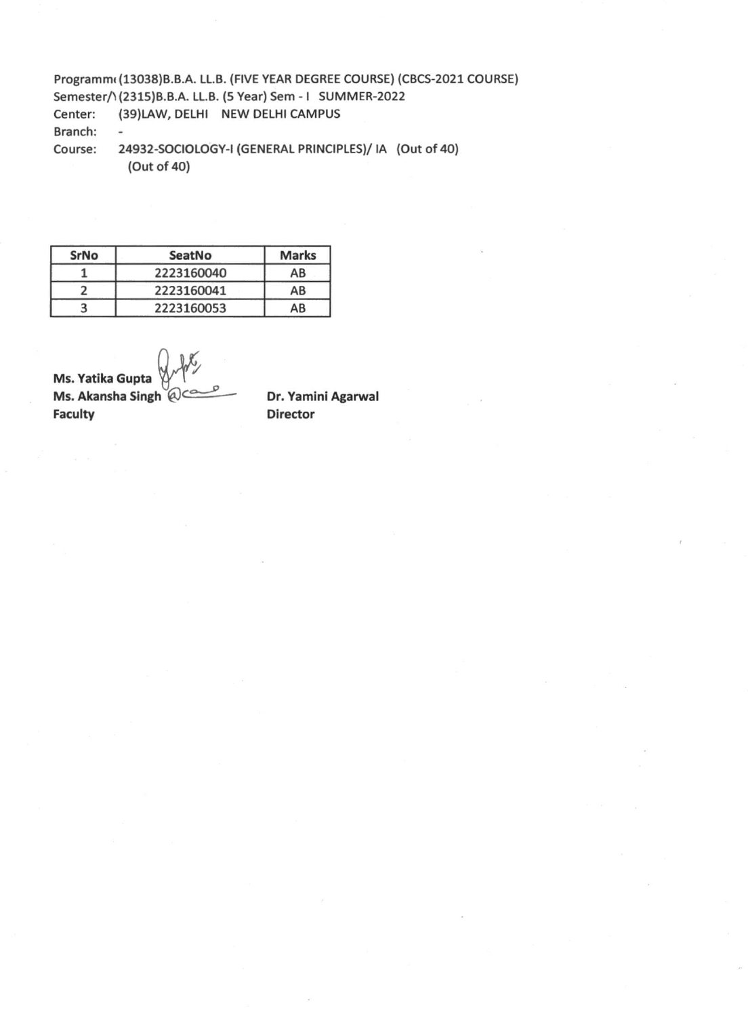Programm (13038) B.B.A. LL.B. (FIVE YEAR DEGREE COURSE) (CBCS-2021 COURSE) Semester/1(2315)B.B.A. LL.B. (5 Year) Sem - I SUMMER-2022 Center: (39)LAW, DELHI NEW DELHI CAMPUS Branch: - Course: 24932-SOCIOLOGY-I (GENERAL PRINCIPLES)/ IA (Out of 40) (Out of 40)

**SrNo SeatNo Marks**  1 2223160040 AB 2 2223160041 AB 3 2223160053 AB

**Ms. Yatika Gupta Ms. Akansha Singh @ce Faculty**   $\widetilde{\mathcal{C}}$ 

**Dr. Yamini Agarwal Director**